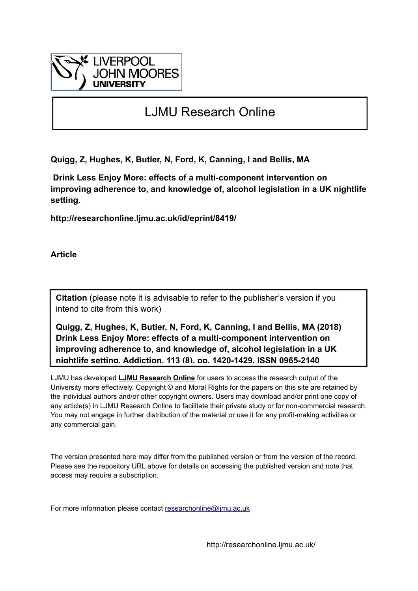

# LJMU Research Online

**Quigg, Z, Hughes, K, Butler, N, Ford, K, Canning, I and Bellis, MA**

 **Drink Less Enjoy More: effects of a multi-component intervention on improving adherence to, and knowledge of, alcohol legislation in a UK nightlife setting.**

**http://researchonline.ljmu.ac.uk/id/eprint/8419/**

**Article**

**Citation** (please note it is advisable to refer to the publisher's version if you intend to cite from this work)

**Quigg, Z, Hughes, K, Butler, N, Ford, K, Canning, I and Bellis, MA (2018) Drink Less Enjoy More: effects of a multi-component intervention on improving adherence to, and knowledge of, alcohol legislation in a UK nightlife setting. Addiction, 113 (8). pp. 1420-1429. ISSN 0965-2140** 

LJMU has developed **[LJMU Research Online](http://researchonline.ljmu.ac.uk/)** for users to access the research output of the University more effectively. Copyright © and Moral Rights for the papers on this site are retained by the individual authors and/or other copyright owners. Users may download and/or print one copy of any article(s) in LJMU Research Online to facilitate their private study or for non-commercial research. You may not engage in further distribution of the material or use it for any profit-making activities or any commercial gain.

The version presented here may differ from the published version or from the version of the record. Please see the repository URL above for details on accessing the published version and note that access may require a subscription.

For more information please contact researchonline@limu.ac.uk

http://researchonline.ljmu.ac.uk/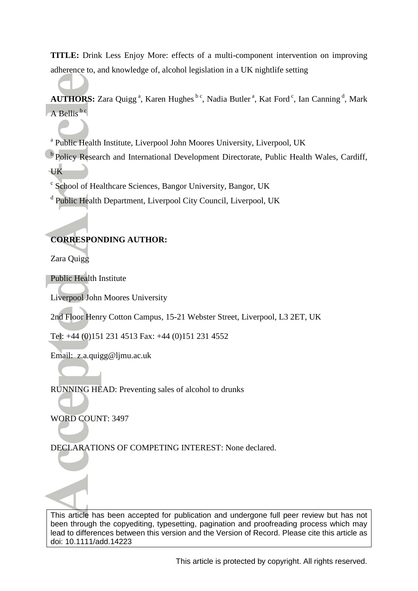**TITLE:** Drink Less Enjoy More: effects of a multi-component intervention on improving adherence to, and knowledge of, alcohol legislation in a UK nightlife setting

AUTHORS: Zara Quigg<sup>a</sup>, Karen Hughes<sup>bc</sup>, Nadia Butler<sup>a</sup>, Kat Ford<sup>c</sup>, Ian Canning<sup>d</sup>, Mark  $A$  Bellis<sup>b c</sup>

<sup>a</sup> Public Health Institute, Liverpool John Moores University, Liverpool, UK

**b** Policy Research and International Development Directorate, Public Health Wales, Cardiff, UK

<sup>c</sup> School of Healthcare Sciences, Bangor University, Bangor, UK

<sup>d</sup> Public Health Department, Liverpool City Council, Liverpool, UK

# **CORRESPONDING AUTHOR:**

Zara Quigg

Public Health Institute

Liverpool John Moores University

2nd Floor Henry Cotton Campus, 15-21 Webster Street, Liverpool, L3 2ET, UK

Tel: +44 (0)151 231 4513 Fax: +44 (0)151 231 4552

Email: z.a.quigg@ljmu.ac.uk

RUNNING HEAD: Preventing sales of alcohol to drunks

WORD COUNT: 3497

DECLARATIONS OF COMPETING INTEREST: None declared.

This article has been accepted for publication and undergone full peer review but has not been through the copyediting, typesetting, pagination and proofreading process which may lead to differences between this version and the Version of Record. Please cite this article as doi: 10.1111/add.14223

This article is protected by copyright. All rights reserved.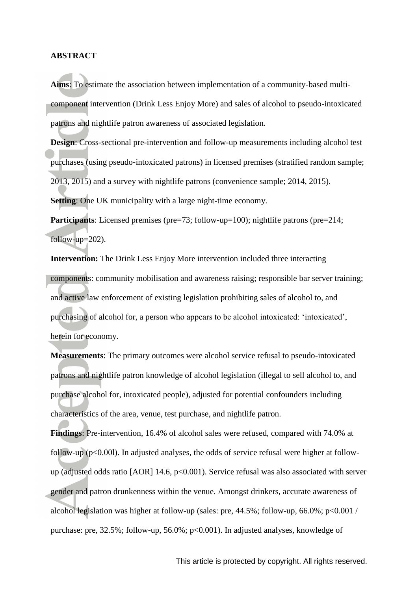#### **ABSTRACT**

**Aims**: To estimate the association between implementation of a community-based multicomponent intervention (Drink Less Enjoy More) and sales of alcohol to pseudo-intoxicated patrons and nightlife patron awareness of associated legislation.

**Design:** Cross-sectional pre-intervention and follow-up measurements including alcohol test purchases (using pseudo-intoxicated patrons) in licensed premises (stratified random sample; 2013, 2015) and a survey with nightlife patrons (convenience sample; 2014, 2015).

**Setting**: One UK municipality with a large night-time economy.

**Participants**: Licensed premises (pre=73; follow-up=100); nightlife patrons (pre=214; follow-up=202).

**Intervention:** The Drink Less Enjoy More intervention included three interacting components: community mobilisation and awareness raising; responsible bar server training; and active law enforcement of existing legislation prohibiting sales of alcohol to, and purchasing of alcohol for, a person who appears to be alcohol intoxicated: 'intoxicated', herein for economy.

**Measurements**: The primary outcomes were alcohol service refusal to pseudo-intoxicated patrons and nightlife patron knowledge of alcohol legislation (illegal to sell alcohol to, and purchase alcohol for, intoxicated people), adjusted for potential confounders including characteristics of the area, venue, test purchase, and nightlife patron.

**Findings**: Pre-intervention, 16.4% of alcohol sales were refused, compared with 74.0% at follow-up (p<0.00l). In adjusted analyses, the odds of service refusal were higher at followup (adjusted odds ratio [AOR] 14.6, p<0.001). Service refusal was also associated with server gender and patron drunkenness within the venue. Amongst drinkers, accurate awareness of alcohol legislation was higher at follow-up (sales: pre,  $44.5\%$ ; follow-up,  $66.0\%$ ;  $p<0.001$  / purchase: pre, 32.5%; follow-up, 56.0%; p<0.001). In adjusted analyses, knowledge of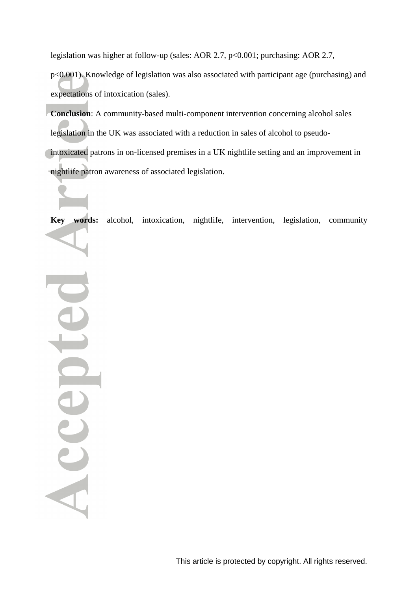legislation was higher at follow-up (sales: AOR 2.7, p<0.001; purchasing: AOR 2.7,

p<0.001). Knowledge of legislation was also associated with participant age (purchasing) and expectations of intoxication (sales).

**Conclusion**: A community-based multi-component intervention concerning alcohol sales legislation in the UK was associated with a reduction in sales of alcohol to pseudointoxicated patrons in on-licensed premises in a UK nightlife setting and an improvement in nightlife patron awareness of associated legislation.

**Key words:** alcohol, intoxication, nightlife, intervention, legislation, community

Accep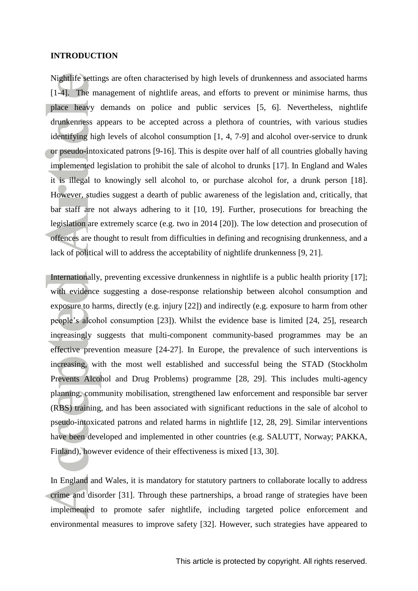#### **INTRODUCTION**

Nightlife settings are often characterised by high levels of drunkenness and associated harms [1-4]. The management of nightlife areas, and efforts to prevent or minimise harms, thus place heavy demands on police and public services [5, 6]. Nevertheless, nightlife drunkenness appears to be accepted across a plethora of countries, with various studies identifying high levels of alcohol consumption [1, 4, 7-9] and alcohol over-service to drunk or pseudo-intoxicated patrons [9-16]. This is despite over half of all countries globally having implemented legislation to prohibit the sale of alcohol to drunks [17]. In England and Wales it is illegal to knowingly sell alcohol to, or purchase alcohol for, a drunk person [18]. However, studies suggest a dearth of public awareness of the legislation and, critically, that bar staff are not always adhering to it [10, 19]. Further, prosecutions for breaching the legislation are extremely scarce (e.g. two in 2014 [20]). The low detection and prosecution of offences are thought to result from difficulties in defining and recognising drunkenness, and a lack of political will to address the acceptability of nightlife drunkenness [9, 21].

Internationally, preventing excessive drunkenness in nightlife is a public health priority [17]; with evidence suggesting a dose-response relationship between alcohol consumption and exposure to harms, directly (e.g. injury [22]) and indirectly (e.g. exposure to harm from other people's alcohol consumption [23]). Whilst the evidence base is limited [24, 25], research increasingly suggests that multi-component community-based programmes may be an effective prevention measure [24-27]. In Europe, the prevalence of such interventions is increasing, with the most well established and successful being the STAD (Stockholm Prevents Alcohol and Drug Problems) programme [28, 29]. This includes multi-agency planning, community mobilisation, strengthened law enforcement and responsible bar server (RBS) training, and has been associated with significant reductions in the sale of alcohol to pseudo-intoxicated patrons and related harms in nightlife [12, 28, 29]. Similar interventions have been developed and implemented in other countries (e.g. SALUTT, Norway; PAKKA, Finland), however evidence of their effectiveness is mixed [13, 30].

In England and Wales, it is mandatory for statutory partners to collaborate locally to address crime and disorder [31]. Through these partnerships, a broad range of strategies have been implemented to promote safer nightlife, including targeted police enforcement and environmental measures to improve safety [32]. However, such strategies have appeared to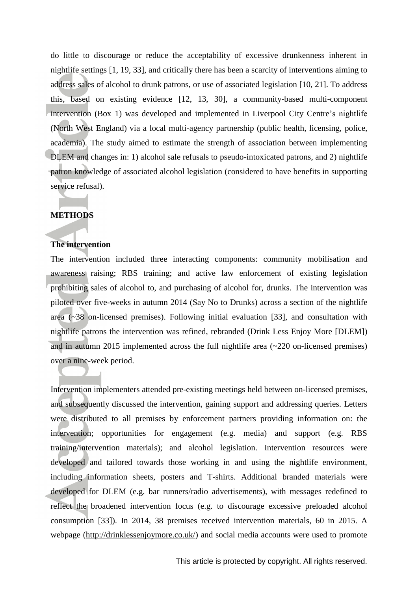do little to discourage or reduce the acceptability of excessive drunkenness inherent in nightlife settings [1, 19, 33], and critically there has been a scarcity of interventions aiming to address sales of alcohol to drunk patrons, or use of associated legislation [10, 21]. To address this, based on existing evidence [12, 13, 30], a community-based multi-component intervention (Box 1) was developed and implemented in Liverpool City Centre's nightlife (North West England) via a local multi-agency partnership (public health, licensing, police, academia). The study aimed to estimate the strength of association between implementing DLEM and changes in: 1) alcohol sale refusals to pseudo-intoxicated patrons, and 2) nightlife patron knowledge of associated alcohol legislation (considered to have benefits in supporting service refusal).

## **METHODS**

#### **The intervention**

The intervention included three interacting components: community mobilisation and awareness raising; RBS training; and active law enforcement of existing legislation prohibiting sales of alcohol to, and purchasing of alcohol for, drunks. The intervention was piloted over five-weeks in autumn 2014 (Say No to Drunks) across a section of the nightlife area  $(\sim 38)$  on-licensed premises). Following initial evaluation [33], and consultation with nightlife patrons the intervention was refined, rebranded (Drink Less Enjoy More [DLEM]) and in autumn 2015 implemented across the full nightlife area (~220 on-licensed premises) over a nine-week period.

Intervention implementers attended pre-existing meetings held between on-licensed premises, and subsequently discussed the intervention, gaining support and addressing queries. Letters were distributed to all premises by enforcement partners providing information on: the intervention; opportunities for engagement (e.g. media) and support (e.g. RBS training/intervention materials); and alcohol legislation. Intervention resources were developed and tailored towards those working in and using the nightlife environment, including information sheets, posters and T-shirts. Additional branded materials were developed for DLEM (e.g. bar runners/radio advertisements), with messages redefined to reflect the broadened intervention focus (e.g. to discourage excessive preloaded alcohol consumption [33]). In 2014, 38 premises received intervention materials, 60 in 2015. A webpage [\(http://drinklessenjoymore.co.uk/\)](http://drinklessenjoymore.co.uk/) and social media accounts were used to promote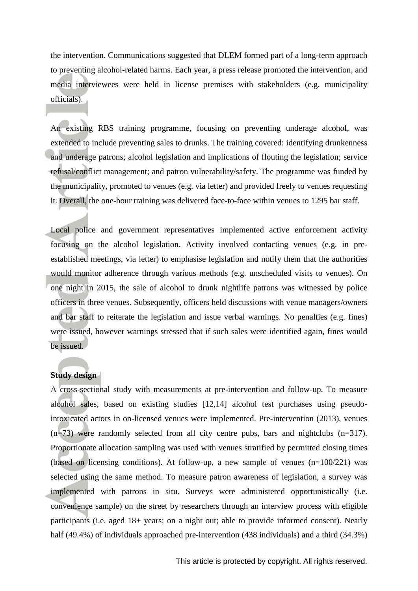the intervention. Communications suggested that DLEM formed part of a long-term approach to preventing alcohol-related harms. Each year, a press release promoted the intervention, and media interviewees were held in license premises with stakeholders (e.g. municipality officials).

An existing RBS training programme, focusing on preventing underage alcohol, was extended to include preventing sales to drunks. The training covered: identifying drunkenness and underage patrons; alcohol legislation and implications of flouting the legislation; service refusal/conflict management; and patron vulnerability/safety. The programme was funded by the municipality, promoted to venues (e.g. via letter) and provided freely to venues requesting it. Overall, the one-hour training was delivered face-to-face within venues to 1295 bar staff.

Local police and government representatives implemented active enforcement activity focusing on the alcohol legislation. Activity involved contacting venues (e.g. in preestablished meetings, via letter) to emphasise legislation and notify them that the authorities would monitor adherence through various methods (e.g. unscheduled visits to venues). On one night in 2015, the sale of alcohol to drunk nightlife patrons was witnessed by police officers in three venues. Subsequently, officers held discussions with venue managers/owners and bar staff to reiterate the legislation and issue verbal warnings. No penalties (e.g. fines) were issued, however warnings stressed that if such sales were identified again, fines would be issued.

## **Study design**

A cross-sectional study with measurements at pre-intervention and follow-up. To measure alcohol sales, based on existing studies [12,14] alcohol test purchases using pseudointoxicated actors in on-licensed venues were implemented. Pre-intervention (2013), venues (n=73) were randomly selected from all city centre pubs, bars and nightclubs (n=317). Proportionate allocation sampling was used with venues stratified by permitted closing times (based on licensing conditions). At follow-up, a new sample of venues  $(n=100/221)$  was selected using the same method. To measure patron awareness of legislation, a survey was implemented with patrons in situ. Surveys were administered opportunistically (i.e. convenience sample) on the street by researchers through an interview process with eligible participants (i.e. aged 18+ years; on a night out; able to provide informed consent). Nearly half (49.4%) of individuals approached pre-intervention (438 individuals) and a third (34.3%)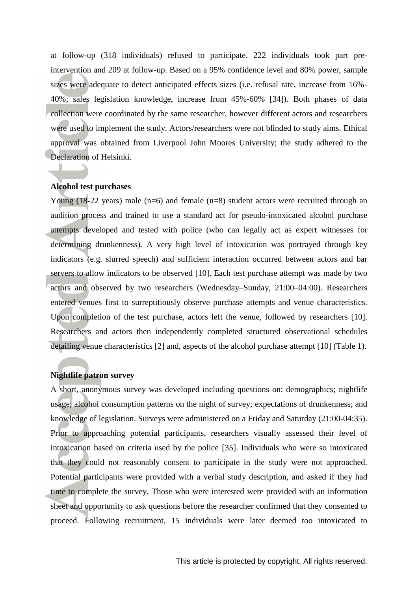at follow-up (318 individuals) refused to participate. 222 individuals took part preintervention and 209 at follow-up. Based on a 95% confidence level and 80% power, sample sizes were adequate to detect anticipated effects sizes (i.e. refusal rate, increase from 16%- 40%; sales legislation knowledge, increase from 45%-60% [34]). Both phases of data collection were coordinated by the same researcher, however different actors and researchers were used to implement the study. Actors/researchers were not blinded to study aims. Ethical approval was obtained from Liverpool John Moores University; the study adhered to the Declaration of Helsinki.

## **Alcohol test purchases**

Young  $(18-22 \text{ years})$  male  $(n=6)$  and female  $(n=8)$  student actors were recruited through an audition process and trained to use a standard act for pseudo-intoxicated alcohol purchase attempts developed and tested with police (who can legally act as expert witnesses for determining drunkenness). A very high level of intoxication was portrayed through key indicators (e.g. slurred speech) and sufficient interaction occurred between actors and bar servers to allow indicators to be observed [10]. Each test purchase attempt was made by two actors and observed by two researchers (Wednesday–Sunday, 21:00–04:00). Researchers entered venues first to surreptitiously observe purchase attempts and venue characteristics. Upon completion of the test purchase, actors left the venue, followed by researchers [10]. Researchers and actors then independently completed structured observational schedules detailing venue characteristics [2] and, aspects of the alcohol purchase attempt [10] (Table 1).

#### **Nightlife patron survey**

A short, anonymous survey was developed including questions on: demographics; nightlife usage; alcohol consumption patterns on the night of survey; expectations of drunkenness; and knowledge of legislation. Surveys were administered on a Friday and Saturday (21:00-04:35). Prior to approaching potential participants, researchers visually assessed their level of intoxication based on criteria used by the police [35]. Individuals who were so intoxicated that they could not reasonably consent to participate in the study were not approached. Potential participants were provided with a verbal study description, and asked if they had time to complete the survey. Those who were interested were provided with an information sheet and opportunity to ask questions before the researcher confirmed that they consented to proceed. Following recruitment, 15 individuals were later deemed too intoxicated to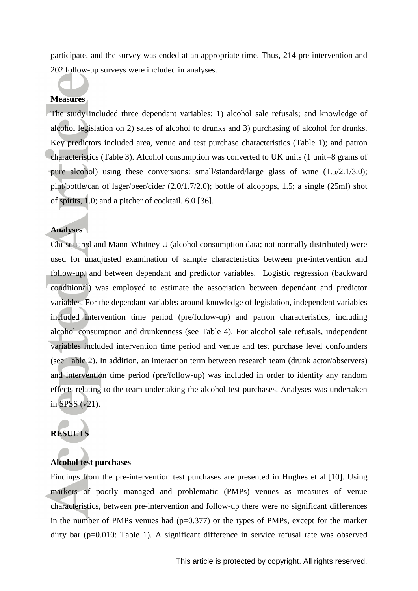participate, and the survey was ended at an appropriate time. Thus, 214 pre-intervention and 202 follow-up surveys were included in analyses.

#### **Measures**

The study included three dependant variables: 1) alcohol sale refusals; and knowledge of alcohol legislation on 2) sales of alcohol to drunks and 3) purchasing of alcohol for drunks. Key predictors included area, venue and test purchase characteristics (Table 1); and patron characteristics (Table 3). Alcohol consumption was converted to UK units (1 unit=8 grams of pure alcohol) using these conversions: small/standard/large glass of wine (1.5/2.1/3.0); pint/bottle/can of lager/beer/cider (2.0/1.7/2.0); bottle of alcopops, 1.5; a single (25ml) shot of spirits, 1.0; and a pitcher of cocktail, 6.0 [36].

### **Analyses**

Chi-squared and Mann-Whitney U (alcohol consumption data; not normally distributed) were used for unadjusted examination of sample characteristics between pre-intervention and follow-up, and between dependant and predictor variables. Logistic regression (backward conditional) was employed to estimate the association between dependant and predictor variables. For the dependant variables around knowledge of legislation, independent variables included intervention time period (pre/follow-up) and patron characteristics, including alcohol consumption and drunkenness (see Table 4). For alcohol sale refusals, independent variables included intervention time period and venue and test purchase level confounders (see Table 2). In addition, an interaction term between research team (drunk actor/observers) and intervention time period (pre/follow-up) was included in order to identity any random effects relating to the team undertaking the alcohol test purchases. Analyses was undertaken in SPSS (v21).

# **RESULTS**

#### **Alcohol test purchases**

Findings from the pre-intervention test purchases are presented in Hughes et al [10]. Using markers of poorly managed and problematic (PMPs) venues as measures of venue characteristics, between pre-intervention and follow-up there were no significant differences in the number of PMPs venues had  $(p=0.377)$  or the types of PMPs, except for the marker dirty bar (p=0.010: Table 1). A significant difference in service refusal rate was observed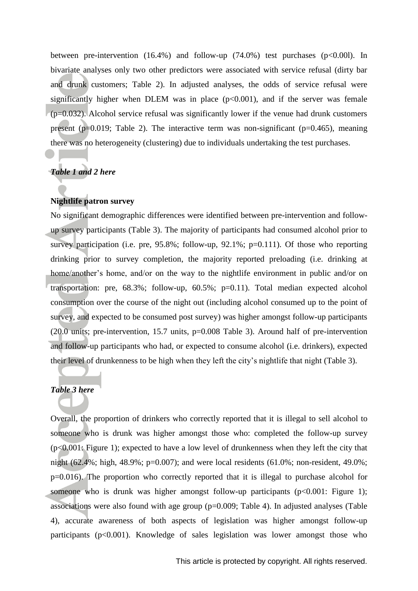between pre-intervention  $(16.4\%)$  and follow-up  $(74.0\%)$  test purchases  $(p<0.001)$ . In bivariate analyses only two other predictors were associated with service refusal (dirty bar and drunk customers; Table 2). In adjusted analyses, the odds of service refusal were significantly higher when DLEM was in place  $(p<0.001)$ , and if the server was female  $(p=0.032)$ . Alcohol service refusal was significantly lower if the venue had drunk customers present ( $p=0.019$ ; Table 2). The interactive term was non-significant ( $p=0.465$ ), meaning there was no heterogeneity (clustering) due to individuals undertaking the test purchases.

## *Table 1 and 2 here*

# **Nightlife patron survey**

No significant demographic differences were identified between pre-intervention and followup survey participants (Table 3). The majority of participants had consumed alcohol prior to survey participation (i.e. pre, 95.8%; follow-up, 92.1%; p=0.111). Of those who reporting drinking prior to survey completion, the majority reported preloading (i.e. drinking at home/another's home, and/or on the way to the nightlife environment in public and/or on transportation: pre, 68.3%; follow-up, 60.5%; p=0.11). Total median expected alcohol consumption over the course of the night out (including alcohol consumed up to the point of survey, and expected to be consumed post survey) was higher amongst follow-up participants (20.0 units; pre-intervention, 15.7 units, p=0.008 Table 3). Around half of pre-intervention and follow-up participants who had, or expected to consume alcohol (i.e. drinkers), expected their level of drunkenness to be high when they left the city's nightlife that night (Table 3).

# *Table 3 here*

Overall, the proportion of drinkers who correctly reported that it is illegal to sell alcohol to someone who is drunk was higher amongst those who: completed the follow-up survey (p<0.001: Figure 1); expected to have a low level of drunkenness when they left the city that night (62.4%; high, 48.9%; p=0.007); and were local residents (61.0%; non-resident, 49.0%; p=0.016). The proportion who correctly reported that it is illegal to purchase alcohol for someone who is drunk was higher amongst follow-up participants  $(p<0.001$ : Figure 1); associations were also found with age group  $(p=0.009;$  Table 4). In adjusted analyses (Table 4), accurate awareness of both aspects of legislation was higher amongst follow-up participants ( $p<0.001$ ). Knowledge of sales legislation was lower amongst those who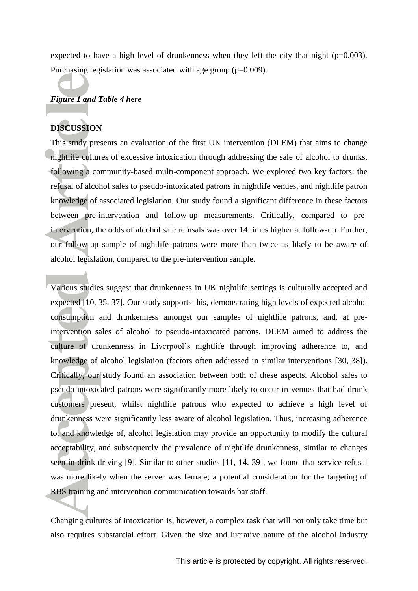expected to have a high level of drunkenness when they left the city that night  $(p=0.003)$ . Purchasing legislation was associated with age group (p=0.009).

# *Figure 1 and Table 4 here*

# **DISCUSSION**

This study presents an evaluation of the first UK intervention (DLEM) that aims to change nightlife cultures of excessive intoxication through addressing the sale of alcohol to drunks, following a community-based multi-component approach. We explored two key factors: the refusal of alcohol sales to pseudo-intoxicated patrons in nightlife venues, and nightlife patron knowledge of associated legislation. Our study found a significant difference in these factors between pre-intervention and follow-up measurements. Critically, compared to preintervention, the odds of alcohol sale refusals was over 14 times higher at follow-up. Further, our follow-up sample of nightlife patrons were more than twice as likely to be aware of alcohol legislation, compared to the pre-intervention sample.

Various studies suggest that drunkenness in UK nightlife settings is culturally accepted and expected [10, 35, 37]. Our study supports this, demonstrating high levels of expected alcohol consumption and drunkenness amongst our samples of nightlife patrons, and, at preintervention sales of alcohol to pseudo-intoxicated patrons. DLEM aimed to address the culture of drunkenness in Liverpool's nightlife through improving adherence to, and knowledge of alcohol legislation (factors often addressed in similar interventions [30, 38]). Critically, our study found an association between both of these aspects. Alcohol sales to pseudo-intoxicated patrons were significantly more likely to occur in venues that had drunk customers present, whilst nightlife patrons who expected to achieve a high level of drunkenness were significantly less aware of alcohol legislation. Thus, increasing adherence to, and knowledge of, alcohol legislation may provide an opportunity to modify the cultural acceptability, and subsequently the prevalence of nightlife drunkenness, similar to changes seen in drink driving [9]. Similar to other studies [11, 14, 39], we found that service refusal was more likely when the server was female; a potential consideration for the targeting of RBS training and intervention communication towards bar staff.

Changing cultures of intoxication is, however, a complex task that will not only take time but also requires substantial effort. Given the size and lucrative nature of the alcohol industry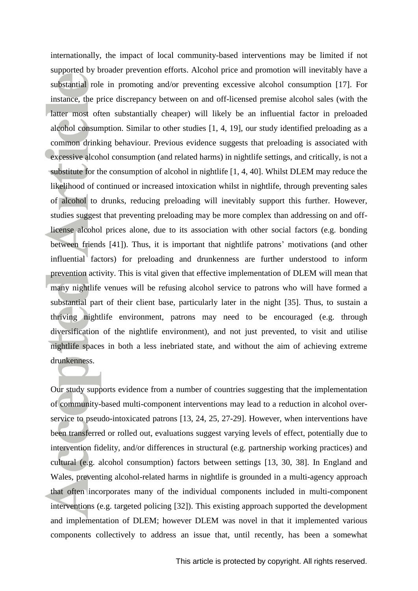internationally, the impact of local community-based interventions may be limited if not supported by broader prevention efforts. Alcohol price and promotion will inevitably have a substantial role in promoting and/or preventing excessive alcohol consumption [17]. For instance, the price discrepancy between on and off-licensed premise alcohol sales (with the latter most often substantially cheaper) will likely be an influential factor in preloaded alcohol consumption. Similar to other studies [1, 4, 19], our study identified preloading as a common drinking behaviour. Previous evidence suggests that preloading is associated with excessive alcohol consumption (and related harms) in nightlife settings, and critically, is not a substitute for the consumption of alcohol in nightlife [1, 4, 40]. Whilst DLEM may reduce the likelihood of continued or increased intoxication whilst in nightlife, through preventing sales of alcohol to drunks, reducing preloading will inevitably support this further. However, studies suggest that preventing preloading may be more complex than addressing on and offlicense alcohol prices alone, due to its association with other social factors (e.g. bonding between friends [41]). Thus, it is important that nightlife patrons' motivations (and other influential factors) for preloading and drunkenness are further understood to inform prevention activity. This is vital given that effective implementation of DLEM will mean that many nightlife venues will be refusing alcohol service to patrons who will have formed a substantial part of their client base, particularly later in the night [35]. Thus, to sustain a thriving nightlife environment, patrons may need to be encouraged (e.g. through diversification of the nightlife environment), and not just prevented, to visit and utilise nightlife spaces in both a less inebriated state, and without the aim of achieving extreme drunkenness.

Our study supports evidence from a number of countries suggesting that the implementation of community-based multi-component interventions may lead to a reduction in alcohol overservice to pseudo-intoxicated patrons [13, 24, 25, 27-29]. However, when interventions have been transferred or rolled out, evaluations suggest varying levels of effect, potentially due to intervention fidelity, and/or differences in structural (e.g. partnership working practices) and cultural (e.g. alcohol consumption) factors between settings [13, 30, 38]. In England and Wales, preventing alcohol-related harms in nightlife is grounded in a multi-agency approach that often incorporates many of the individual components included in multi-component interventions (e.g. targeted policing [32]). This existing approach supported the development and implementation of DLEM; however DLEM was novel in that it implemented various components collectively to address an issue that, until recently, has been a somewhat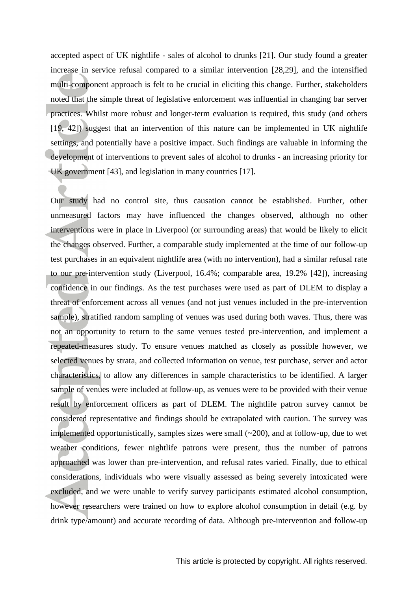accepted aspect of UK nightlife - sales of alcohol to drunks [21]. Our study found a greater increase in service refusal compared to a similar intervention [28,29], and the intensified multi-component approach is felt to be crucial in eliciting this change. Further, stakeholders noted that the simple threat of legislative enforcement was influential in changing bar server practices. Whilst more robust and longer-term evaluation is required, this study (and others [19, 42]) suggest that an intervention of this nature can be implemented in UK nightlife settings, and potentially have a positive impact. Such findings are valuable in informing the development of interventions to prevent sales of alcohol to drunks - an increasing priority for UK government [43], and legislation in many countries [17].

Our study had no control site, thus causation cannot be established. Further, other unmeasured factors may have influenced the changes observed, although no other interventions were in place in Liverpool (or surrounding areas) that would be likely to elicit the changes observed. Further, a comparable study implemented at the time of our follow-up test purchases in an equivalent nightlife area (with no intervention), had a similar refusal rate to our pre-intervention study (Liverpool, 16.4%; comparable area, 19.2% [42]), increasing confidence in our findings. As the test purchases were used as part of DLEM to display a threat of enforcement across all venues (and not just venues included in the pre-intervention sample), stratified random sampling of venues was used during both waves. Thus, there was not an opportunity to return to the same venues tested pre-intervention, and implement a repeated-measures study. To ensure venues matched as closely as possible however, we selected venues by strata, and collected information on venue, test purchase, server and actor characteristics, to allow any differences in sample characteristics to be identified. A larger sample of venues were included at follow-up, as venues were to be provided with their venue result by enforcement officers as part of DLEM. The nightlife patron survey cannot be considered representative and findings should be extrapolated with caution. The survey was implemented opportunistically, samples sizes were small (~200), and at follow-up, due to wet weather conditions, fewer nightlife patrons were present, thus the number of patrons approached was lower than pre-intervention, and refusal rates varied. Finally, due to ethical considerations, individuals who were visually assessed as being severely intoxicated were excluded, and we were unable to verify survey participants estimated alcohol consumption, however researchers were trained on how to explore alcohol consumption in detail (e.g. by drink type/amount) and accurate recording of data. Although pre-intervention and follow-up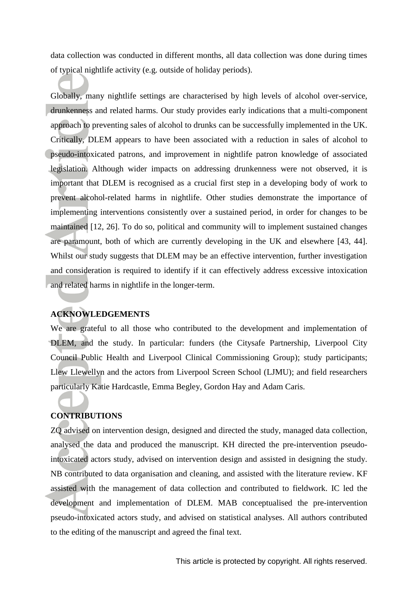data collection was conducted in different months, all data collection was done during times of typical nightlife activity (e.g. outside of holiday periods).

Globally, many nightlife settings are characterised by high levels of alcohol over-service, drunkenness and related harms. Our study provides early indications that a multi-component approach to preventing sales of alcohol to drunks can be successfully implemented in the UK. Critically, DLEM appears to have been associated with a reduction in sales of alcohol to pseudo-intoxicated patrons, and improvement in nightlife patron knowledge of associated legislation. Although wider impacts on addressing drunkenness were not observed, it is important that DLEM is recognised as a crucial first step in a developing body of work to prevent alcohol-related harms in nightlife. Other studies demonstrate the importance of implementing interventions consistently over a sustained period, in order for changes to be maintained [12, 26]. To do so, political and community will to implement sustained changes are paramount, both of which are currently developing in the UK and elsewhere [43, 44]. Whilst our study suggests that DLEM may be an effective intervention, further investigation and consideration is required to identify if it can effectively address excessive intoxication and related harms in nightlife in the longer-term.

## **ACKNOWLEDGEMENTS**

We are grateful to all those who contributed to the development and implementation of DLEM, and the study. In particular: funders (the Citysafe Partnership, Liverpool City Council Public Health and Liverpool Clinical Commissioning Group); study participants; Llew Llewellyn and the actors from Liverpool Screen School (LJMU); and field researchers particularly Katie Hardcastle, Emma Begley, Gordon Hay and Adam Caris.

# **CONTRIBUTIONS**

ZQ advised on intervention design, designed and directed the study, managed data collection, analysed the data and produced the manuscript. KH directed the pre-intervention pseudointoxicated actors study, advised on intervention design and assisted in designing the study. NB contributed to data organisation and cleaning, and assisted with the literature review. KF assisted with the management of data collection and contributed to fieldwork. IC led the development and implementation of DLEM. MAB conceptualised the pre-intervention pseudo-intoxicated actors study, and advised on statistical analyses. All authors contributed to the editing of the manuscript and agreed the final text.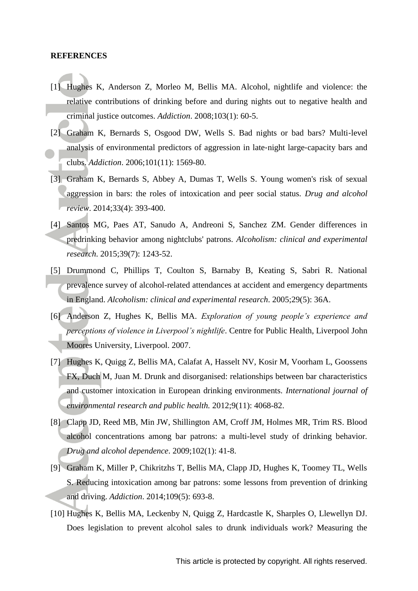#### **REFERENCES**

- [1] Hughes K, Anderson Z, Morleo M, Bellis MA. Alcohol, nightlife and violence: the relative contributions of drinking before and during nights out to negative health and criminal justice outcomes. *Addiction*. 2008;103(1): 60-5.
- [2] Graham K, Bernards S, Osgood DW, Wells S. Bad nights or bad bars? Multi-level analysis of environmental predictors of aggression in late‐night large‐capacity bars and clubs. *Addiction*. 2006;101(11): 1569-80.
- [3] Graham K, Bernards S, Abbey A, Dumas T, Wells S. Young women's risk of sexual aggression in bars: the roles of intoxication and peer social status. *Drug and alcohol review*. 2014;33(4): 393-400.
- [4] Santos MG, Paes AT, Sanudo A, Andreoni S, Sanchez ZM. Gender differences in predrinking behavior among nightclubs' patrons. *Alcoholism: clinical and experimental research*. 2015;39(7): 1243-52.
- [5] Drummond C, Phillips T, Coulton S, Barnaby B, Keating S, Sabri R. National prevalence survey of alcohol-related attendances at accident and emergency departments in England. *Alcoholism: clinical and experimental research*. 2005;29(5): 36A.
- [6] Anderson Z, Hughes K, Bellis MA. *Exploration of young people's experience and perceptions of violence in Liverpool's nightlife*. Centre for Public Health, Liverpool John Moores University, Liverpool. 2007.
- [7] Hughes K, Quigg Z, Bellis MA, Calafat A, Hasselt NV, Kosir M, Voorham L, Goossens FX, Duch M, Juan M. Drunk and disorganised: relationships between bar characteristics and customer intoxication in European drinking environments. *International journal of environmental research and public health.* 2012;9(11): 4068-82.
- [8] Clapp JD, Reed MB, Min JW, Shillington AM, Croff JM, Holmes MR, Trim RS. Blood alcohol concentrations among bar patrons: a multi-level study of drinking behavior*. Drug and alcohol dependence*. 2009;102(1): 41-8.
- [9] Graham K, Miller P, Chikritzhs T, Bellis MA, Clapp JD, Hughes K, Toomey TL, Wells S. Reducing intoxication among bar patrons: some lessons from prevention of drinking and driving. *Addiction*. 2014;109(5): 693-8.
- [10] Hughes K, Bellis MA, Leckenby N, Quigg Z, Hardcastle K, Sharples O, Llewellyn DJ. Does legislation to prevent alcohol sales to drunk individuals work? Measuring the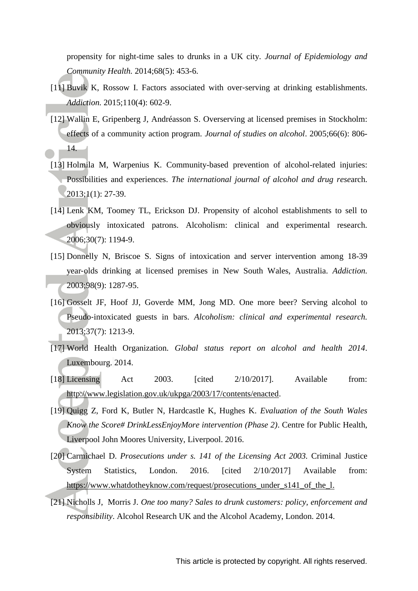propensity for night-time sales to drunks in a UK city. *Journal of Epidemiology and Community Health.* 2014;68(5): 453-6.

- [11] Buvik K, Rossow I. Factors associated with over-serving at drinking establishments. *Addiction.* 2015;110(4): 602-9.
- [12] Wallin E, Gripenberg J, Andréasson S. Overserving at licensed premises in Stockholm: effects of a community action program. *Journal of studies on alcohol*. 2005;66(6): 806- 14.
- [13] Holmila M, Warpenius K. Community-based prevention of alcohol-related injuries: Possibilities and experiences. *The international journal of alcohol and drug rese*arch. 2013;1(1): 27-39.
- [14] Lenk KM, Toomey TL, Erickson DJ. Propensity of alcohol establishments to sell to obviously intoxicated patrons. Alcoholism: clinical and experimental research. 2006;30(7): 1194-9.
- [15] Donnelly N, Briscoe S. Signs of intoxication and server intervention among 18-39 year‐olds drinking at licensed premises in New South Wales, Australia. *Addiction.* 2003;98(9): 1287-95.
- [16] Gosselt JF, Hoof JJ, Goverde MM, Jong MD. One more beer? Serving alcohol to Pseudo‐intoxicated guests in bars. *Alcoholism: clinical and experimental research.* 2013;37(7): 1213-9.
- [17] World Health Organization. *Global status report on alcohol and health 2014*. Luxembourg. 2014.
- [18] Licensing Act 2003. [cited 2/10/2017]. Available from: [http://www.legislation.gov.uk/ukpga/2003/17/contents/enacted.](http://www.legislation.gov.uk/ukpga/2003/17/contents/enacted)
- [19] Quigg Z, Ford K, Butler N, Hardcastle K, Hughes K. *Evaluation of the South Wales Know the Score# DrinkLessEnjoyMore intervention (Phase 2)*. Centre for Public Health, Liverpool John Moores University, Liverpool. 2016.
- [20] Carmichael D. *Prosecutions under s. 141 of the Licensing Act 2003.* Criminal Justice System Statistics, London. 2016. [cited 2/10/2017] Available from: [https://www.whatdotheyknow.com/request/prosecutions\\_under\\_s141\\_of\\_the\\_l.](https://www.whatdotheyknow.com/request/prosecutions_under_s141_of_the_l)
- [21] Nicholls J, Morris J. *One too many? Sales to drunk customers: policy, enforcement and responsibility*. Alcohol Research UK and the Alcohol Academy, London. 2014.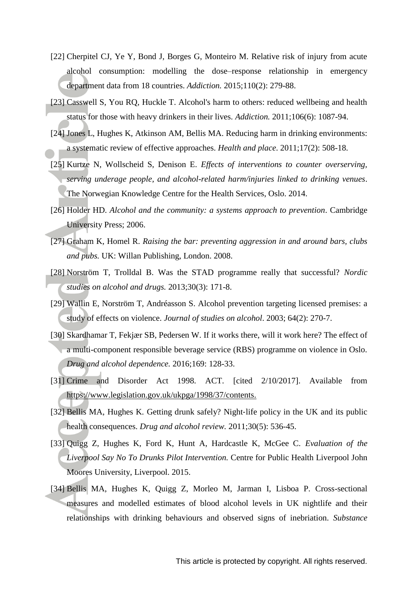- [22] Cherpitel CJ, Ye Y, Bond J, Borges G, Monteiro M. Relative risk of injury from acute alcohol consumption: modelling the dose–response relationship in emergency department data from 18 countries. *Addiction.* 2015;110(2): 279-88.
- [23] Casswell S, You RQ, Huckle T. Alcohol's harm to others: reduced wellbeing and health status for those with heavy drinkers in their lives. *Addiction.* 2011;106(6): 1087-94.
- [24] Jones L, Hughes K, Atkinson AM, Bellis MA. Reducing harm in drinking environments: a systematic review of effective approaches. *Health and place*. 2011;17(2): 508-18.
- [25] Kurtze N, Wollscheid S, Denison E. *Effects of interventions to counter overserving, serving underage people, and alcohol-related harm/injuries linked to drinking venues*. The Norwegian Knowledge Centre for the Health Services, Oslo. 2014.
- [26] Holder HD. *Alcohol and the community: a systems approach to prevention*. Cambridge University Press; 2006.
- [27] Graham K, Homel R. *Raising the bar: preventing aggression in and around bars, clubs and pubs.* UK: Willan Publishing, London. 2008.
- [28] Norström T, Trolldal B. Was the STAD programme really that successful? *Nordic studies on alcohol and drugs.* 2013;30(3): 171-8.
- [29] Wallin E, Norström T, Andréasson S. Alcohol prevention targeting licensed premises: a study of effects on violence. *Journal of studies on alcohol*. 2003; 64(2): 270-7.
- [30] Skardhamar T, Fekjær SB, Pedersen W. If it works there, will it work here? The effect of a multi-component responsible beverage service (RBS) programme on violence in Oslo. *Drug and alcohol dependence.* 2016;169: 128-33.
- [31] Crime and Disorder Act 1998. ACT. [cited 2/10/2017]. Available from [https://www.legislation.gov.uk/ukpga/1998/37/contents.](https://www.legislation.gov.uk/ukpga/1998/37/contents)
- [32] Bellis MA, Hughes K. Getting drunk safely? Night‐life policy in the UK and its public health consequences. *Drug and alcohol review.* 2011;30(5): 536-45.
- [33] Quigg Z, Hughes K, Ford K, Hunt A, Hardcastle K, McGee C. *Evaluation of the Liverpool Say No To Drunks Pilot Intervention.* Centre for Public Health Liverpool John Moores University, Liverpool. 2015.
- [34] Bellis MA, Hughes K, Quigg Z, Morleo M, Jarman I, Lisboa P. Cross-sectional measures and modelled estimates of blood alcohol levels in UK nightlife and their relationships with drinking behaviours and observed signs of inebriation. *Substance*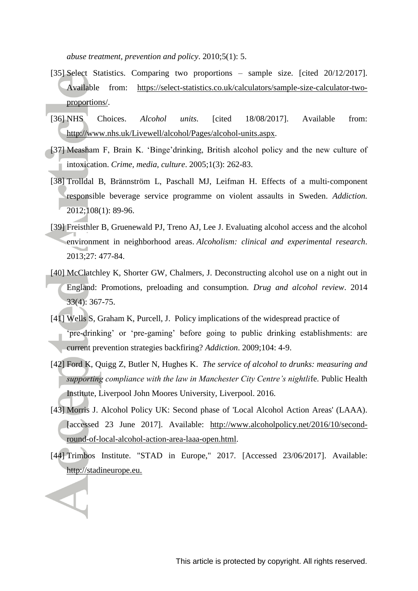*abuse treatment, prevention and policy*. 2010;5(1): 5.

- [35] Select Statistics. Comparing two proportions sample size. [cited 20/12/2017]. Available from: [https://select-statistics.co.uk/calculators/sample-size-calculator-two](https://select-statistics.co.uk/calculators/sample-size-calculator-two-proportions/)[proportions/.](https://select-statistics.co.uk/calculators/sample-size-calculator-two-proportions/)
- [36] NHS Choices. *Alcohol units.* [cited 18/08/2017]. Available from: [http://www.nhs.uk/Livewell/alcohol/Pages/alcohol-units.aspx.](http://www.nhs.uk/Livewell/alcohol/Pages/alcohol-units.aspx)
- [37] Measham F, Brain K. 'Binge'drinking, British alcohol policy and the new culture of intoxication. *Crime, media, culture*. 2005;1(3): 262-83.
- [38] Trolldal B, Brännström L, Paschall MJ, Leifman H. Effects of a multi-component responsible beverage service programme on violent assaults in Sweden. *Addiction.* 2012;108(1): 89-96.
- [39] Freisthler B, Gruenewald PJ, Treno AJ, Lee J. Evaluating alcohol access and the alcohol environment in neighborhood areas. *Alcoholism: clinical and experimental research*. 2013;27: 477-84.
- [40] McClatchley K, Shorter GW, Chalmers, J. Deconstructing alcohol use on a night out in England: Promotions, preloading and consumption. *Drug and alcohol review*. 2014 33(4): 367-75.
- [41] Wells S, Graham K, Purcell, J. Policy implications of the widespread practice of 'pre-drinking' or 'pre-gaming' before going to public drinking establishments: are current prevention strategies backfiring? *Addiction*. 2009;104: 4-9.
- [42] Ford K, Quigg Z, Butler N, Hughes K. *The service of alcohol to drunks: measuring and supporting compliance with the law in Manchester City Centre's nightli*fe. Public Health Institute, Liverpool John Moores University, Liverpool. 2016.
- [43] Morris J. Alcohol Policy UK: Second phase of 'Local Alcohol Action Areas' (LAAA). [accessed 23 June 2017]. Available: [http://www.alcoholpolicy.net/2016/10/second](http://www.alcoholpolicy.net/2016/10/second-round-of-local-alcohol-action-area-laaa-open.html)[round-of-local-alcohol-action-area-laaa-open.html.](http://www.alcoholpolicy.net/2016/10/second-round-of-local-alcohol-action-area-laaa-open.html)
- [44] Trimbos Institute. "STAD in Europe," 2017. [Accessed 23/06/2017]. Available: [http://stadineurope.eu.](http://stadineurope.eu/)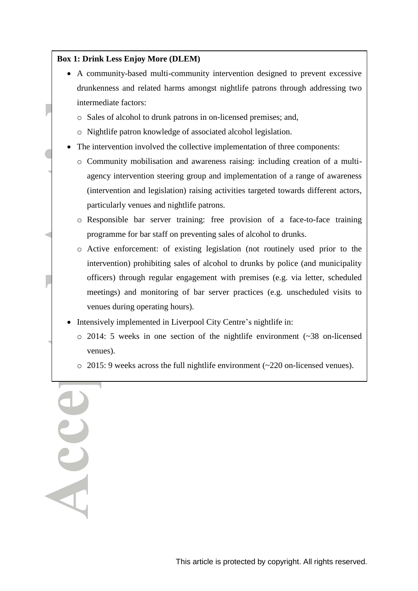# **Box 1: Drink Less Enjoy More (DLEM)**

- A community-based multi-community intervention designed to prevent excessive drunkenness and related harms amongst nightlife patrons through addressing two intermediate factors:
	- o Sales of alcohol to drunk patrons in on-licensed premises; and,
	- o Nightlife patron knowledge of associated alcohol legislation.
- The intervention involved the collective implementation of three components:
	- o Community mobilisation and awareness raising: including creation of a multiagency intervention steering group and implementation of a range of awareness (intervention and legislation) raising activities targeted towards different actors, particularly venues and nightlife patrons.
	- o Responsible bar server training: free provision of a face-to-face training programme for bar staff on preventing sales of alcohol to drunks.
	- o Active enforcement: of existing legislation (not routinely used prior to the intervention) prohibiting sales of alcohol to drunks by police (and municipality officers) through regular engagement with premises (e.g. via letter, scheduled meetings) and monitoring of bar server practices (e.g. unscheduled visits to venues during operating hours).
- Intensively implemented in Liverpool City Centre's nightlife in:
	- $\circ$  2014: 5 weeks in one section of the nightlife environment ( $\sim$ 38 on-licensed venues).
	- o 2015: 9 weeks across the full nightlife environment (~220 on-licensed venues).

Acce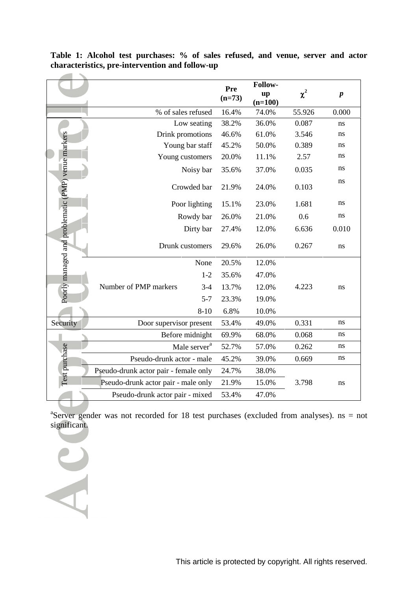|                                                    |                                       | Pre<br>$(n=73)$ | Follow-<br>up<br>$(n=100)$ | $\chi^2$ | $\boldsymbol{p}$ |
|----------------------------------------------------|---------------------------------------|-----------------|----------------------------|----------|------------------|
|                                                    | % of sales refused                    | 16.4%           | 74.0%                      | 55.926   | 0.000            |
|                                                    | Low seating                           | 38.2%           | 36.0%                      | 0.087    | ns               |
|                                                    | Drink promotions                      | 46.6%           | 61.0%                      | 3.546    | ns               |
|                                                    | Young bar staff                       | 45.2%           | 50.0%                      | 0.389    | ns               |
|                                                    | Young customers                       | 20.0%           | 11.1%                      | 2.57     | ns               |
|                                                    | Noisy bar                             | 35.6%           | 37.0%                      | 0.035    | ns               |
| Poorly managed and problematic (PMP) venue markers | Crowded bar                           | 21.9%           | 24.0%                      | 0.103    | ns               |
|                                                    | Poor lighting                         | 15.1%           | 23.0%                      | 1.681    | ns               |
|                                                    | Rowdy bar                             | 26.0%           | 21.0%                      | 0.6      | ns               |
|                                                    | Dirty bar                             | 27.4%           | 12.0%                      | 6.636    | 0.010            |
|                                                    | Drunk customers                       | 29.6%           | 26.0%                      | 0.267    | ns               |
|                                                    | None                                  | 20.5%           | 12.0%                      |          |                  |
|                                                    | $1-2$                                 | 35.6%           | 47.0%                      |          |                  |
|                                                    | Number of PMP markers<br>$3-4$        | 13.7%           | 12.0%                      | 4.223    | ns               |
|                                                    | $5 - 7$                               | 23.3%           | 19.0%                      |          |                  |
|                                                    | $8 - 10$                              | 6.8%            | 10.0%                      |          |                  |
| Security                                           | Door supervisor present               | 53.4%           | 49.0%                      | 0.331    | ns               |
|                                                    | Before midnight                       | 69.9%           | 68.0%                      | 0.068    | ns               |
|                                                    | Male server <sup>a</sup>              | 52.7%           | 57.0%                      | 0.262    | ns               |
|                                                    | Pseudo-drunk actor - male             | 45.2%           | 39.0%                      | 0.669    | ns               |
| Test purchase                                      | Pseudo-drunk actor pair - female only | 24.7%           | 38.0%                      |          |                  |
|                                                    | Pseudo-drunk actor pair - male only   | 21.9%           | 15.0%                      | 3.798    | ns               |
|                                                    | Pseudo-drunk actor pair - mixed       | 53.4%           | 47.0%                      |          |                  |

**Table 1: Alcohol test purchases: % of sales refused, and venue, server and actor characteristics, pre-intervention and follow-up**

<sup>a</sup>Server gender was not recorded for 18 test purchases (excluded from analyses). ns = not significant.

 $\sim$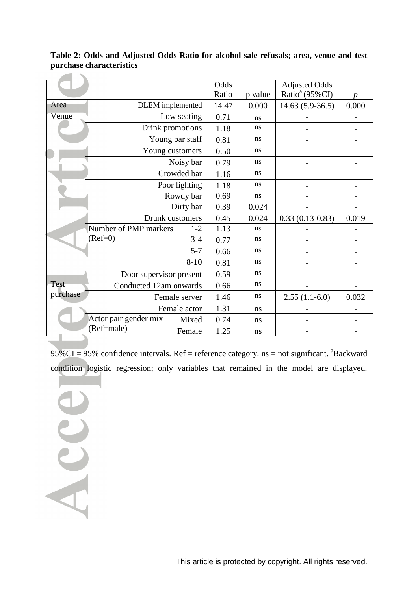|             |                         |               | Odds  |                   | <b>Adjusted Odds</b>       |       |
|-------------|-------------------------|---------------|-------|-------------------|----------------------------|-------|
|             |                         |               | Ratio | p value           | Ratio <sup>a</sup> (95%CI) |       |
| Area        | <b>DLEM</b> implemented | 14.47         | 0.000 | $14.63(5.9-36.5)$ | 0.000                      |       |
| Venue       | Low seating             |               | 0.71  | ns                |                            |       |
|             | Drink promotions        |               | 1.18  | ns                |                            |       |
|             | Young bar staff         | 0.81          | ns    |                   |                            |       |
|             | Young customers         | 0.50          | ns    |                   |                            |       |
|             |                         | Noisy bar     | 0.79  | ns                |                            |       |
|             |                         | Crowded bar   | 1.16  | ns                |                            |       |
|             |                         | Poor lighting | 1.18  | ns                |                            |       |
|             | Rowdy bar               |               |       | ns                |                            |       |
|             | Dirty bar               | 0.39          | 0.024 |                   |                            |       |
|             | Drunk customers         | 0.45          | 0.024 | $0.33(0.13-0.83)$ | 0.019                      |       |
|             | Number of PMP markers   | $1 - 2$       | 1.13  | ns                |                            |       |
|             | $(Ref=0)$               | $3 - 4$       | 0.77  | ns                |                            |       |
|             |                         | 0.66          | ns    |                   |                            |       |
|             | $8 - 10$                |               |       | ns                |                            |       |
|             | Door supervisor present | 0.59          | ns    |                   |                            |       |
| <b>Test</b> | Conducted 12am onwards  |               | 0.66  | ns                |                            |       |
| purchase    | Female server           |               |       | ns                | $2.55(1.1-6.0)$            | 0.032 |
|             | Female actor            | 1.31          | ns    |                   |                            |       |
|             | Actor pair gender mix   | Mixed         | 0.74  | ns                |                            |       |
|             | (Ref=male)              | Female        | 1.25  | ns                |                            |       |

**Table 2: Odds and Adjusted Odds Ratio for alcohol sale refusals; area, venue and test purchase characteristics**

 $95\%CI = 95\%$  confidence intervals. Ref = reference category. ns = not significant.  $^{a}$ Backward condition logistic regression; only variables that remained in the model are displayed.

Acce

 $-$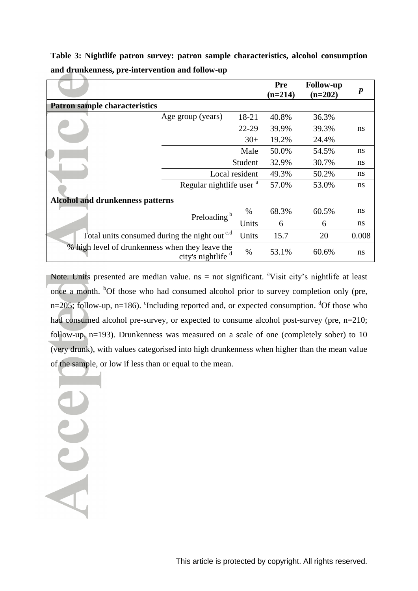|                                                          |                                     |         | <b>Pre</b><br>$(n=214)$ | <b>Follow-up</b><br>$(n=202)$ | $\boldsymbol{p}$ |  |  |  |  |
|----------------------------------------------------------|-------------------------------------|---------|-------------------------|-------------------------------|------------------|--|--|--|--|
| <b>Patron sample characteristics</b>                     |                                     |         |                         |                               |                  |  |  |  |  |
|                                                          | Age group (years)                   | 18-21   | 40.8%                   | 36.3%                         |                  |  |  |  |  |
|                                                          |                                     | 22-29   | 39.9%                   | 39.3%                         | ns               |  |  |  |  |
|                                                          |                                     | $30+$   | 19.2%                   | 24.4%                         |                  |  |  |  |  |
|                                                          |                                     | Male    | 50.0%                   | 54.5%                         | ns               |  |  |  |  |
|                                                          |                                     | Student | 32.9%                   | 30.7%                         | ns               |  |  |  |  |
|                                                          | Local resident                      |         |                         |                               |                  |  |  |  |  |
|                                                          | Regular nightlife user <sup>a</sup> |         | 57.0%                   | 53.0%                         | ns               |  |  |  |  |
| <b>Alcohol and drunkenness patterns</b>                  |                                     |         |                         |                               |                  |  |  |  |  |
|                                                          | Preloading <sup>b</sup>             | $\%$    | 68.3%                   | 60.5%                         | ns               |  |  |  |  |
|                                                          |                                     | Units   | 6                       | 6                             | ns               |  |  |  |  |
| Total units consumed during the night out <sup>c.d</sup> | 15.7                                | 20      | 0.008                   |                               |                  |  |  |  |  |
| % high level of drunkenness when they leave the          | city's nightlife d                  | $\%$    | 53.1%                   | 60.6%                         | ns               |  |  |  |  |

**Table 3: Nightlife patron survey: patron sample characteristics, alcohol consumption and drunkenness, pre-intervention and follow-up**

Note. Units presented are median value.  $ns = not$  significant. <sup>a</sup>Visit city's nightlife at least once a month. <sup>b</sup>Of those who had consumed alcohol prior to survey completion only (pre,  $n=205$ ; follow-up,  $n=186$ ). <sup>c</sup>Including reported and, or expected consumption. <sup>d</sup>Of those who had consumed alcohol pre-survey, or expected to consume alcohol post-survey (pre, n=210; follow-up, n=193). Drunkenness was measured on a scale of one (completely sober) to 10 (very drunk), with values categorised into high drunkenness when higher than the mean value of the sample, or low if less than or equal to the mean.

Acce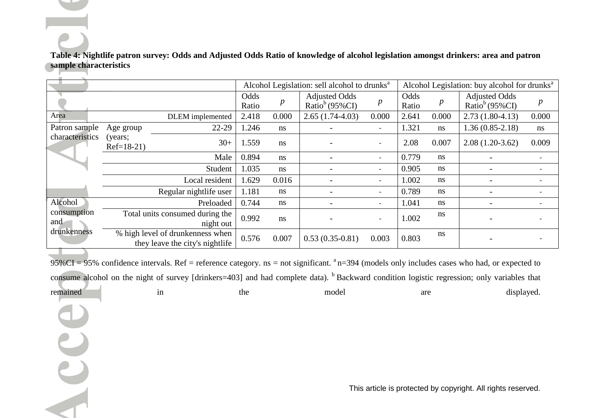# **Table 4: Nightlife patron survey: Odds and Adjusted Odds Ratio of knowledge of alcohol legislation amongst drinkers: area and patron sample characteristics**

|                                              |                        | Alcohol Legislation: sell alcohol to drunks <sup>a</sup>            |               |                  | Alcohol Legislation: buy alcohol for drunks <sup>a</sup> |                          |               |                  |                                                    |       |
|----------------------------------------------|------------------------|---------------------------------------------------------------------|---------------|------------------|----------------------------------------------------------|--------------------------|---------------|------------------|----------------------------------------------------|-------|
|                                              |                        |                                                                     | Odds<br>Ratio | $\boldsymbol{p}$ | <b>Adjusted Odds</b><br>Ratio <sup>b</sup> (95%CI)       | $\boldsymbol{p}$         | Odds<br>Ratio | $\boldsymbol{p}$ | <b>Adjusted Odds</b><br>Ratio <sup>b</sup> (95%CI) |       |
| Area                                         |                        | DLEM implemented                                                    | 2.418         | 0.000            | $2.65(1.74-4.03)$                                        | 0.000                    | 2.641         | 0.000            | $2.73(1.80-4.13)$                                  | 0.000 |
| Patron sample<br>characteristics             | Age group              | 22-29                                                               | 1.246         | ns               |                                                          |                          | 1.321         | ns               | $1.36(0.85-2.18)$                                  | ns    |
|                                              | (years;<br>$Ref=18-21$ | $30+$                                                               | 1.559         | ns               |                                                          |                          | 2.08          | 0.007            | $2.08(1.20-3.62)$                                  | 0.009 |
|                                              |                        | Male                                                                | 0.894         | ns               |                                                          | $\sim$                   | 0.779         | ns               |                                                    |       |
|                                              |                        | Student                                                             | 1.035         | ns               |                                                          | $\sim$                   | 0.905         | ns               |                                                    |       |
|                                              |                        | Local resident                                                      | 1.629         | 0.016            |                                                          |                          | 1.002         | ns               |                                                    |       |
|                                              |                        | Regular nightlife user                                              | 1.181         | ns               |                                                          | $\sim$                   | 0.789         | ns               |                                                    |       |
| Alcohol<br>consumption<br>and<br>drunkenness |                        | Preloaded                                                           | 0.744         | ns               |                                                          | $\sim$                   | 1.041         | ns               |                                                    |       |
|                                              |                        | Total units consumed during the<br>night out                        | 0.992         | ns               |                                                          | $\overline{\phantom{a}}$ | 1.002         | ns               |                                                    |       |
|                                              |                        | % high level of drunkenness when<br>they leave the city's nightlife | 0.576         | 0.007            | $0.53(0.35-0.81)$                                        | 0.003                    | 0.803         | ns               |                                                    |       |

 $95\%$ CI = 95% confidence intervals. Ref = reference category. ns = not significant.  $a$ <sup>1</sup> n=394 (models only includes cases who had, or expected to consume alcohol on the night of survey [drinkers=403] and had complete data). <sup>b</sup> Backward condition logistic regression; only variables that remained in the the model are displayed.

C

This article is protected by copyright. All rights reserved.